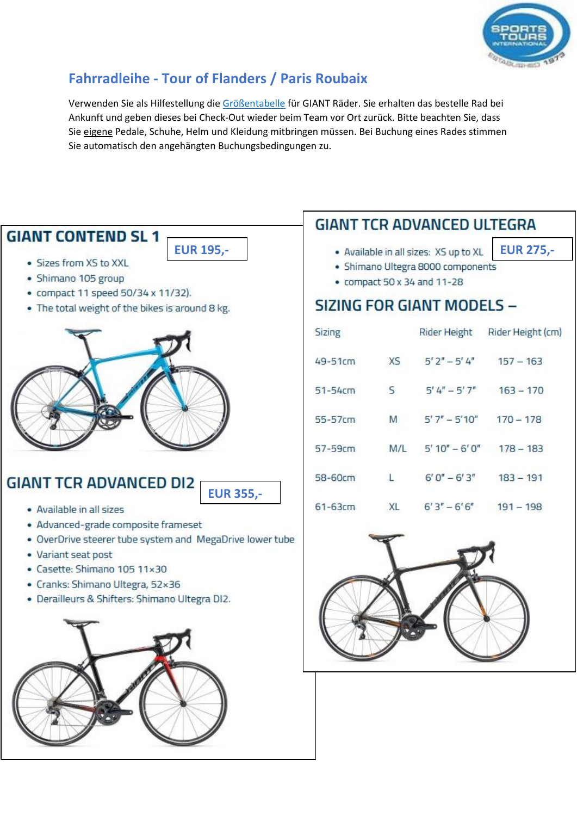

# **Fahrradleihe - Tour of Flanders / Paris Roubaix**

Verwenden Sie als Hilfestellung die [Größentabelle](https://images.sportstoursinternational.co.uk/wp-content/uploads/2020/07/Giant-Size-Guide.pdf) für GIANT Räder. Sie erhalten das bestelle Rad bei Ankunft und geben dieses bei Check-Out wieder beim Team vor Ort zurück. Bitte beachten Sie, dass Sie eigene Pedale, Schuhe, Helm und Kleidung mitbringen müssen. Bei Buchung eines Rades stimmen Sie automatisch den angehängten Buchungsbedingungen zu.

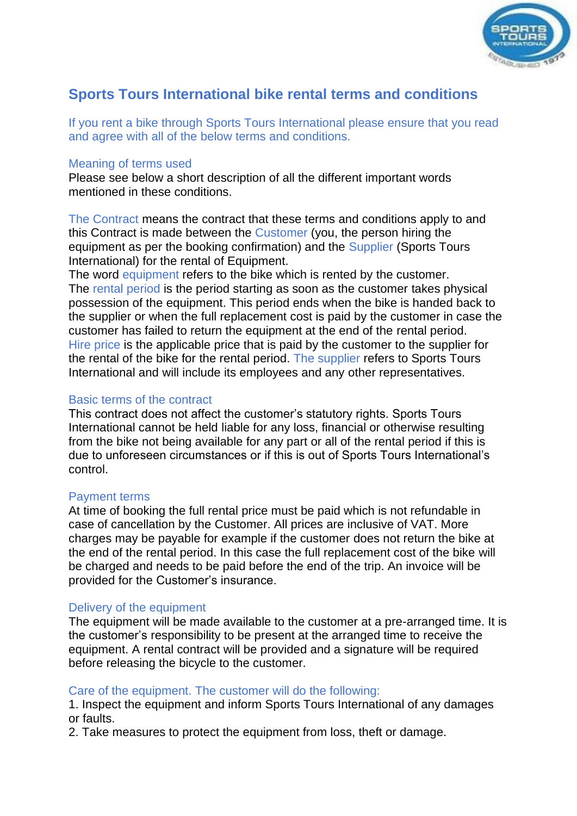

## **Sports Tours International bike rental terms and conditions**

If you rent a bike through Sports Tours International please ensure that you read and agree with all of the below terms and conditions.

#### Meaning of terms used

Please see below a short description of all the different important words mentioned in these conditions.

The Contract means the contract that these terms and conditions apply to and this Contract is made between the Customer (you, the person hiring the equipment as per the booking confirmation) and the Supplier (Sports Tours International) for the rental of Equipment.

The word equipment refers to the bike which is rented by the customer. The rental period is the period starting as soon as the customer takes physical possession of the equipment. This period ends when the bike is handed back to the supplier or when the full replacement cost is paid by the customer in case the customer has failed to return the equipment at the end of the rental period. Hire price is the applicable price that is paid by the customer to the supplier for the rental of the bike for the rental period. The supplier refers to Sports Tours International and will include its employees and any other representatives.

#### Basic terms of the contract

This contract does not affect the customer's statutory rights. Sports Tours International cannot be held liable for any loss, financial or otherwise resulting from the bike not being available for any part or all of the rental period if this is due to unforeseen circumstances or if this is out of Sports Tours International's control.

#### Payment terms

At time of booking the full rental price must be paid which is not refundable in case of cancellation by the Customer. All prices are inclusive of VAT. More charges may be payable for example if the customer does not return the bike at the end of the rental period. In this case the full replacement cost of the bike will be charged and needs to be paid before the end of the trip. An invoice will be provided for the Customer's insurance.

## Delivery of the equipment

The equipment will be made available to the customer at a pre-arranged time. It is the customer's responsibility to be present at the arranged time to receive the equipment. A rental contract will be provided and a signature will be required before releasing the bicycle to the customer.

## Care of the equipment. The customer will do the following:

1. Inspect the equipment and inform Sports Tours International of any damages or faults.

2. Take measures to protect the equipment from loss, theft or damage.